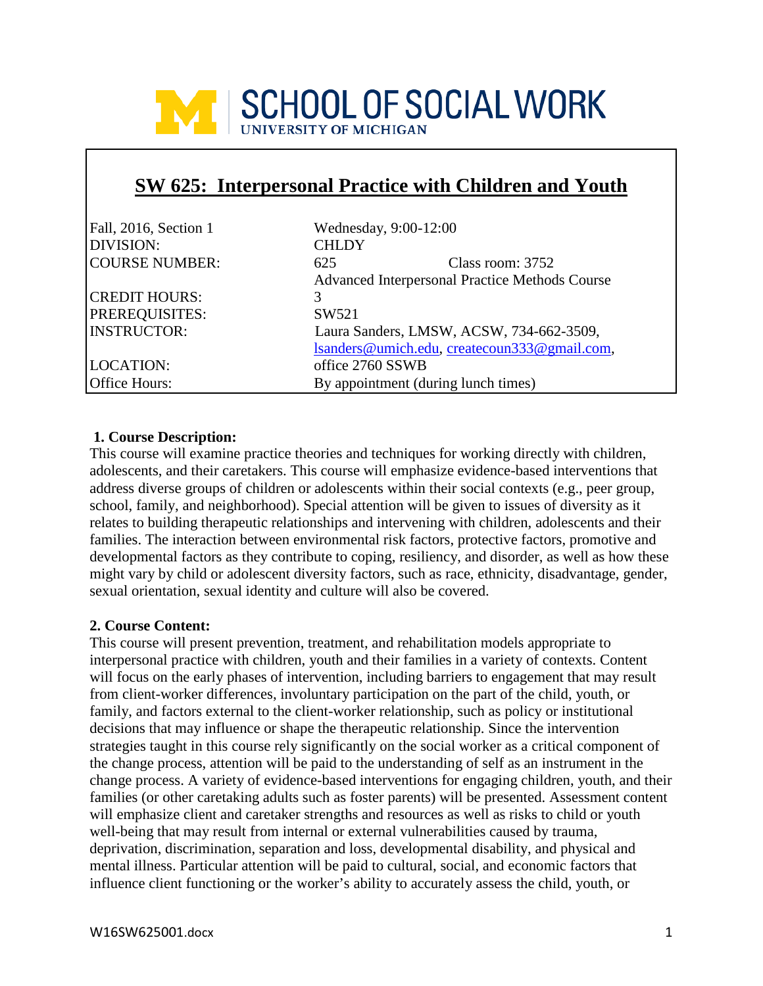

# **SW 625: Interpersonal Practice with Children and Youth**

| Fall, 2016, Section 1 | Wednesday, 9:00-12:00                          |  |
|-----------------------|------------------------------------------------|--|
| DIVISION:             | <b>CHLDY</b>                                   |  |
| <b>COURSE NUMBER:</b> | 625<br>Class room: 3752                        |  |
|                       | Advanced Interpersonal Practice Methods Course |  |
| <b>CREDIT HOURS:</b>  | 3                                              |  |
| PREREQUISITES:        | SW521                                          |  |
| <b>INSTRUCTOR:</b>    | Laura Sanders, LMSW, ACSW, 734-662-3509,       |  |
|                       | lsanders@umich.edu, createcoun333@gmail.com,   |  |
| <b>LOCATION:</b>      | office 2760 SSWB                               |  |
| Office Hours:         | By appointment (during lunch times)            |  |

#### **1. Course Description:**

This course will examine practice theories and techniques for working directly with children, adolescents, and their caretakers. This course will emphasize evidence-based interventions that address diverse groups of children or adolescents within their social contexts (e.g., peer group, school, family, and neighborhood). Special attention will be given to issues of diversity as it relates to building therapeutic relationships and intervening with children, adolescents and their families. The interaction between environmental risk factors, protective factors, promotive and developmental factors as they contribute to coping, resiliency, and disorder, as well as how these might vary by child or adolescent diversity factors, such as race, ethnicity, disadvantage, gender, sexual orientation, sexual identity and culture will also be covered.

#### **2. Course Content:**

This course will present prevention, treatment, and rehabilitation models appropriate to interpersonal practice with children, youth and their families in a variety of contexts. Content will focus on the early phases of intervention, including barriers to engagement that may result from client-worker differences, involuntary participation on the part of the child, youth, or family, and factors external to the client-worker relationship, such as policy or institutional decisions that may influence or shape the therapeutic relationship. Since the intervention strategies taught in this course rely significantly on the social worker as a critical component of the change process, attention will be paid to the understanding of self as an instrument in the change process. A variety of evidence-based interventions for engaging children, youth, and their families (or other caretaking adults such as foster parents) will be presented. Assessment content will emphasize client and caretaker strengths and resources as well as risks to child or youth well-being that may result from internal or external vulnerabilities caused by trauma, deprivation, discrimination, separation and loss, developmental disability, and physical and mental illness. Particular attention will be paid to cultural, social, and economic factors that influence client functioning or the worker's ability to accurately assess the child, youth, or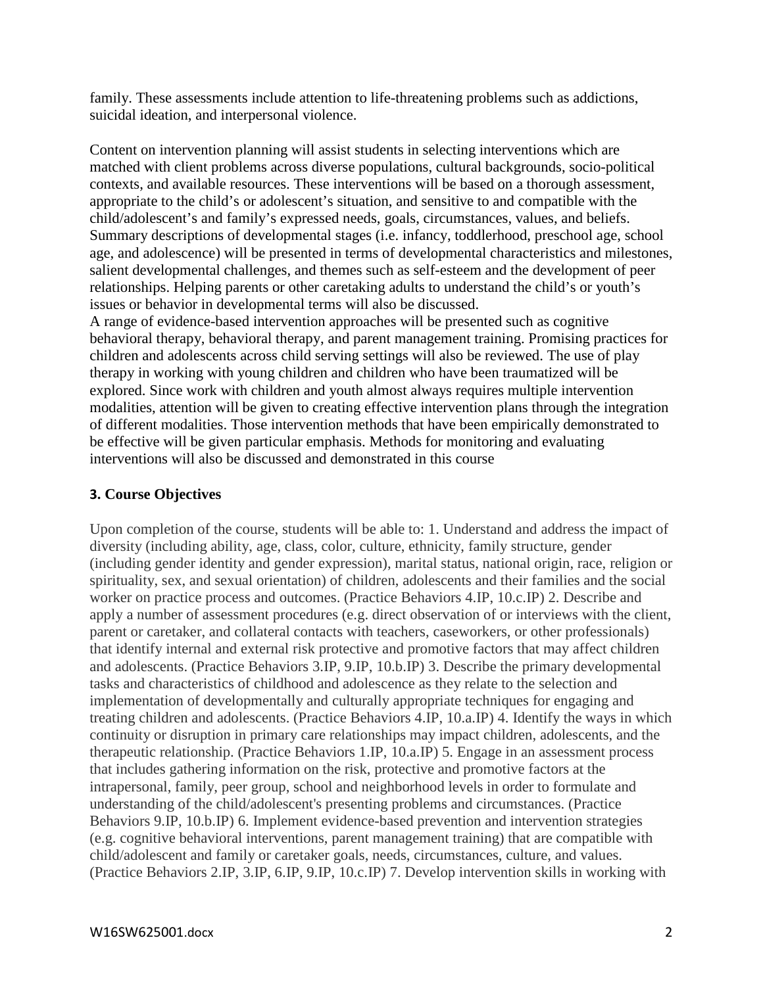family. These assessments include attention to life-threatening problems such as addictions, suicidal ideation, and interpersonal violence.

Content on intervention planning will assist students in selecting interventions which are matched with client problems across diverse populations, cultural backgrounds, socio-political contexts, and available resources. These interventions will be based on a thorough assessment, appropriate to the child's or adolescent's situation, and sensitive to and compatible with the child/adolescent's and family's expressed needs, goals, circumstances, values, and beliefs. Summary descriptions of developmental stages (i.e. infancy, toddlerhood, preschool age, school age, and adolescence) will be presented in terms of developmental characteristics and milestones, salient developmental challenges, and themes such as self-esteem and the development of peer relationships. Helping parents or other caretaking adults to understand the child's or youth's issues or behavior in developmental terms will also be discussed.

A range of evidence-based intervention approaches will be presented such as cognitive behavioral therapy, behavioral therapy, and parent management training. Promising practices for children and adolescents across child serving settings will also be reviewed. The use of play therapy in working with young children and children who have been traumatized will be explored. Since work with children and youth almost always requires multiple intervention modalities, attention will be given to creating effective intervention plans through the integration of different modalities. Those intervention methods that have been empirically demonstrated to be effective will be given particular emphasis. Methods for monitoring and evaluating interventions will also be discussed and demonstrated in this course

## **3. Course Objectives**

Upon completion of the course, students will be able to: 1. Understand and address the impact of diversity (including ability, age, class, color, culture, ethnicity, family structure, gender (including gender identity and gender expression), marital status, national origin, race, religion or spirituality, sex, and sexual orientation) of children, adolescents and their families and the social worker on practice process and outcomes. (Practice Behaviors 4.IP, 10.c.IP) 2. Describe and apply a number of assessment procedures (e.g. direct observation of or interviews with the client, parent or caretaker, and collateral contacts with teachers, caseworkers, or other professionals) that identify internal and external risk protective and promotive factors that may affect children and adolescents. (Practice Behaviors 3.IP, 9.IP, 10.b.IP) 3. Describe the primary developmental tasks and characteristics of childhood and adolescence as they relate to the selection and implementation of developmentally and culturally appropriate techniques for engaging and treating children and adolescents. (Practice Behaviors 4.IP, 10.a.IP) 4. Identify the ways in which continuity or disruption in primary care relationships may impact children, adolescents, and the therapeutic relationship. (Practice Behaviors 1.IP, 10.a.IP) 5. Engage in an assessment process that includes gathering information on the risk, protective and promotive factors at the intrapersonal, family, peer group, school and neighborhood levels in order to formulate and understanding of the child/adolescent's presenting problems and circumstances. (Practice Behaviors 9.IP, 10.b.IP) 6. Implement evidence-based prevention and intervention strategies (e.g. cognitive behavioral interventions, parent management training) that are compatible with child/adolescent and family or caretaker goals, needs, circumstances, culture, and values. (Practice Behaviors 2.IP, 3.IP, 6.IP, 9.IP, 10.c.IP) 7. Develop intervention skills in working with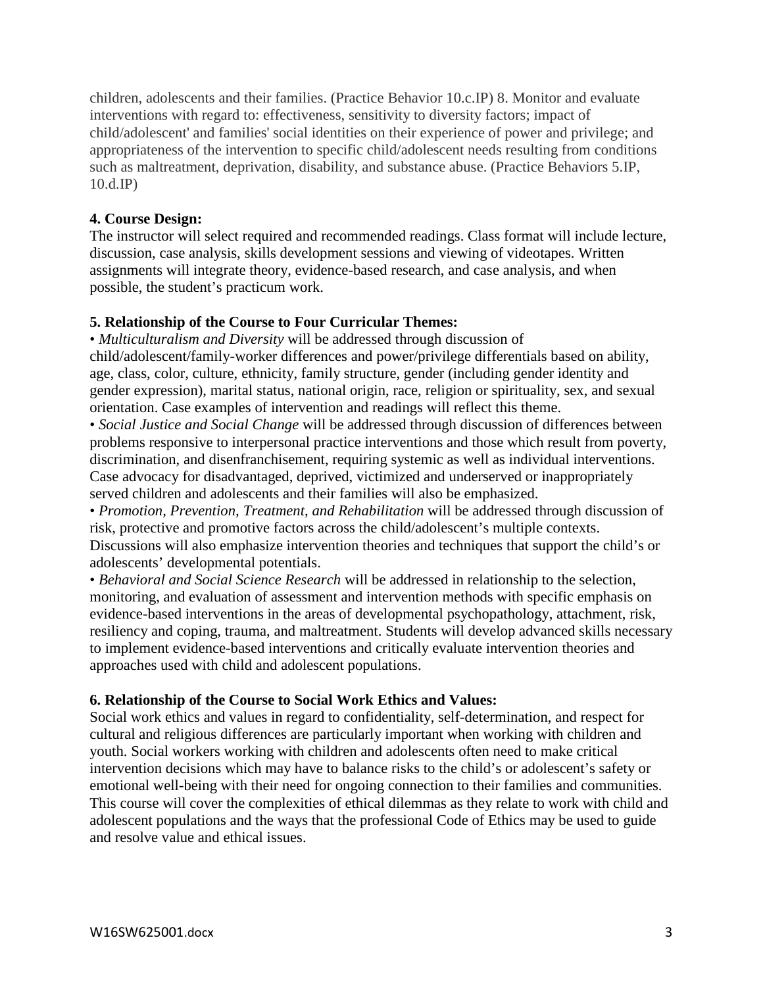children, adolescents and their families. (Practice Behavior 10.c.IP) 8. Monitor and evaluate interventions with regard to: effectiveness, sensitivity to diversity factors; impact of child/adolescent' and families' social identities on their experience of power and privilege; and appropriateness of the intervention to specific child/adolescent needs resulting from conditions such as maltreatment, deprivation, disability, and substance abuse. (Practice Behaviors 5.IP, 10.d.IP)

## **4. Course Design:**

The instructor will select required and recommended readings. Class format will include lecture, discussion, case analysis, skills development sessions and viewing of videotapes. Written assignments will integrate theory, evidence-based research, and case analysis, and when possible, the student's practicum work.

## **5. Relationship of the Course to Four Curricular Themes:**

• *Multiculturalism and Diversity* will be addressed through discussion of child/adolescent/family-worker differences and power/privilege differentials based on ability, age, class, color, culture, ethnicity, family structure, gender (including gender identity and gender expression), marital status, national origin, race, religion or spirituality, sex, and sexual orientation. Case examples of intervention and readings will reflect this theme.

• *Social Justice and Social Change* will be addressed through discussion of differences between problems responsive to interpersonal practice interventions and those which result from poverty, discrimination, and disenfranchisement, requiring systemic as well as individual interventions. Case advocacy for disadvantaged, deprived, victimized and underserved or inappropriately served children and adolescents and their families will also be emphasized.

• *Promotion, Prevention, Treatment, and Rehabilitation* will be addressed through discussion of risk, protective and promotive factors across the child/adolescent's multiple contexts. Discussions will also emphasize intervention theories and techniques that support the child's or adolescents' developmental potentials.

• *Behavioral and Social Science Research* will be addressed in relationship to the selection, monitoring, and evaluation of assessment and intervention methods with specific emphasis on evidence-based interventions in the areas of developmental psychopathology, attachment, risk, resiliency and coping, trauma, and maltreatment. Students will develop advanced skills necessary to implement evidence-based interventions and critically evaluate intervention theories and approaches used with child and adolescent populations.

## **6. Relationship of the Course to Social Work Ethics and Values:**

Social work ethics and values in regard to confidentiality, self-determination, and respect for cultural and religious differences are particularly important when working with children and youth. Social workers working with children and adolescents often need to make critical intervention decisions which may have to balance risks to the child's or adolescent's safety or emotional well-being with their need for ongoing connection to their families and communities. This course will cover the complexities of ethical dilemmas as they relate to work with child and adolescent populations and the ways that the professional Code of Ethics may be used to guide and resolve value and ethical issues.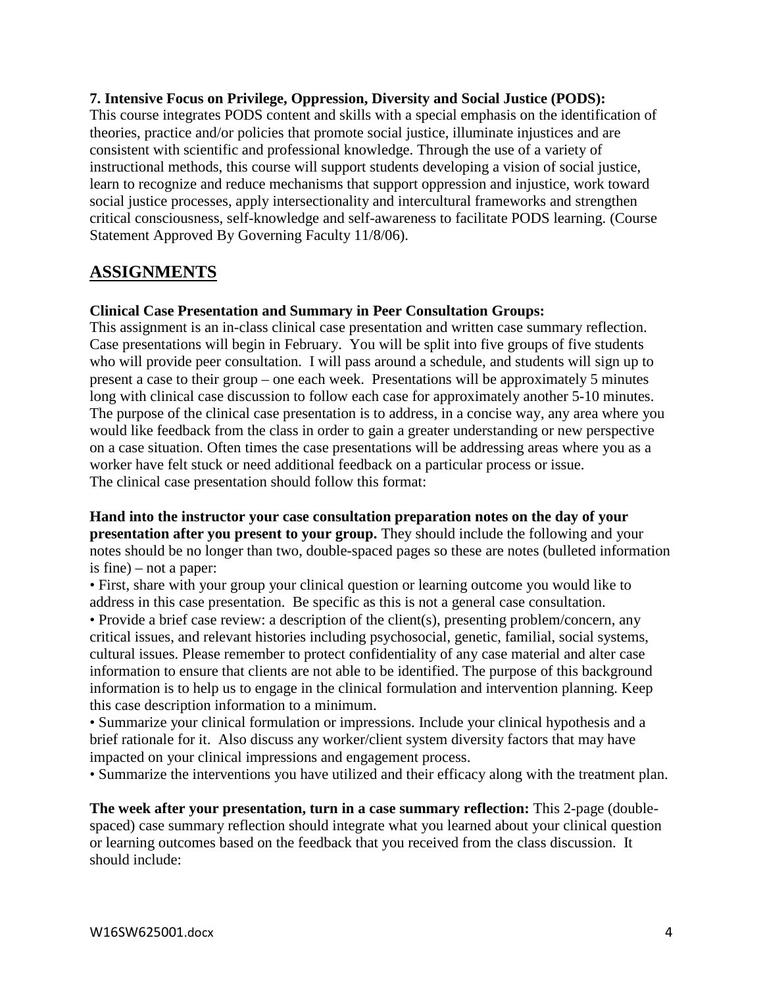#### **7. Intensive Focus on Privilege, Oppression, Diversity and Social Justice (PODS):**

This course integrates PODS content and skills with a special emphasis on the identification of theories, practice and/or policies that promote social justice, illuminate injustices and are consistent with scientific and professional knowledge. Through the use of a variety of instructional methods, this course will support students developing a vision of social justice, learn to recognize and reduce mechanisms that support oppression and injustice, work toward social justice processes, apply intersectionality and intercultural frameworks and strengthen critical consciousness, self-knowledge and self-awareness to facilitate PODS learning. (Course Statement Approved By Governing Faculty 11/8/06).

# **ASSIGNMENTS**

#### **Clinical Case Presentation and Summary in Peer Consultation Groups:**

This assignment is an in-class clinical case presentation and written case summary reflection. Case presentations will begin in February. You will be split into five groups of five students who will provide peer consultation. I will pass around a schedule, and students will sign up to present a case to their group – one each week. Presentations will be approximately 5 minutes long with clinical case discussion to follow each case for approximately another 5-10 minutes. The purpose of the clinical case presentation is to address, in a concise way, any area where you would like feedback from the class in order to gain a greater understanding or new perspective on a case situation. Often times the case presentations will be addressing areas where you as a worker have felt stuck or need additional feedback on a particular process or issue. The clinical case presentation should follow this format:

**Hand into the instructor your case consultation preparation notes on the day of your presentation after you present to your group.** They should include the following and your notes should be no longer than two, double-spaced pages so these are notes (bulleted information is fine) – not a paper:

• First, share with your group your clinical question or learning outcome you would like to address in this case presentation. Be specific as this is not a general case consultation.

• Provide a brief case review: a description of the client(s), presenting problem/concern, any critical issues, and relevant histories including psychosocial, genetic, familial, social systems, cultural issues. Please remember to protect confidentiality of any case material and alter case information to ensure that clients are not able to be identified. The purpose of this background information is to help us to engage in the clinical formulation and intervention planning. Keep this case description information to a minimum.

• Summarize your clinical formulation or impressions. Include your clinical hypothesis and a brief rationale for it. Also discuss any worker/client system diversity factors that may have impacted on your clinical impressions and engagement process.

• Summarize the interventions you have utilized and their efficacy along with the treatment plan.

**The week after your presentation, turn in a case summary reflection:** This 2-page (doublespaced) case summary reflection should integrate what you learned about your clinical question or learning outcomes based on the feedback that you received from the class discussion. It should include: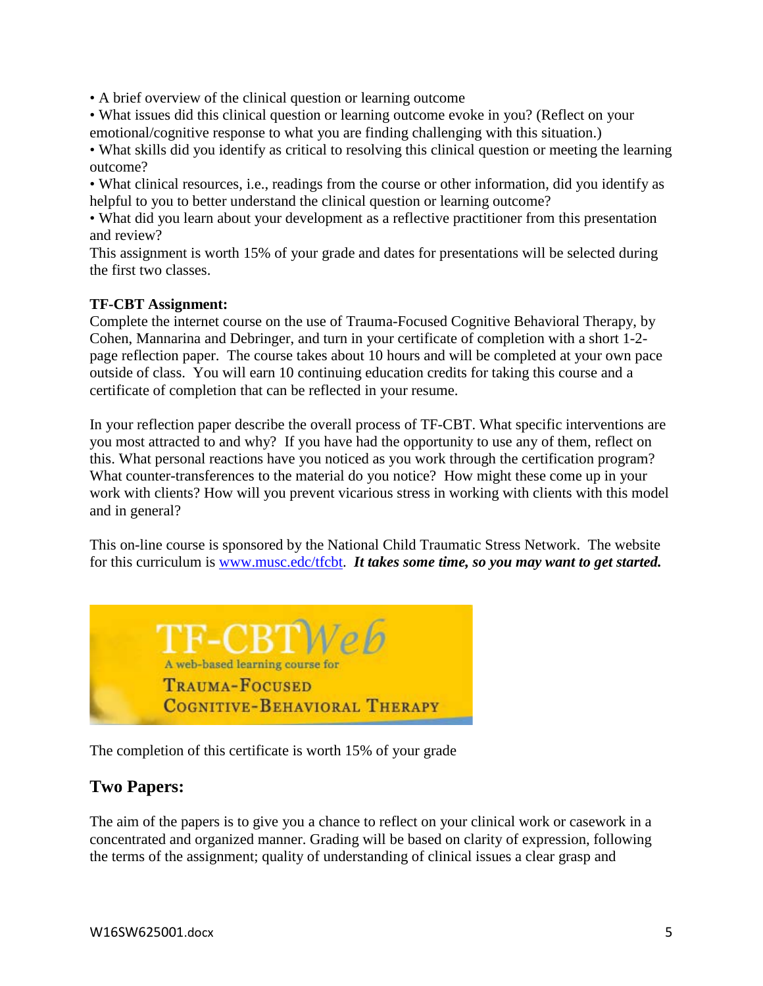• A brief overview of the clinical question or learning outcome

• What issues did this clinical question or learning outcome evoke in you? (Reflect on your emotional/cognitive response to what you are finding challenging with this situation.)

• What skills did you identify as critical to resolving this clinical question or meeting the learning outcome?

• What clinical resources, i.e., readings from the course or other information, did you identify as helpful to you to better understand the clinical question or learning outcome?

• What did you learn about your development as a reflective practitioner from this presentation and review?

This assignment is worth 15% of your grade and dates for presentations will be selected during the first two classes.

## **TF-CBT Assignment:**

Complete the internet course on the use of Trauma-Focused Cognitive Behavioral Therapy, by Cohen, Mannarina and Debringer, and turn in your certificate of completion with a short 1-2 page reflection paper. The course takes about 10 hours and will be completed at your own pace outside of class. You will earn 10 continuing education credits for taking this course and a certificate of completion that can be reflected in your resume.

In your reflection paper describe the overall process of TF-CBT. What specific interventions are you most attracted to and why? If you have had the opportunity to use any of them, reflect on this. What personal reactions have you noticed as you work through the certification program? What counter-transferences to the material do you notice? How might these come up in your work with clients? How will you prevent vicarious stress in working with clients with this model and in general?

This on-line course is sponsored by the National Child Traumatic Stress Network. The website for this curriculum is [www.musc.edc/tfcbt.](http://www.musc.edc/tfcbt) *It takes some time, so you may want to get started.* 



The completion of this certificate is worth 15% of your grade

# **Two Papers:**

The aim of the papers is to give you a chance to reflect on your clinical work or casework in a concentrated and organized manner. Grading will be based on clarity of expression, following the terms of the assignment; quality of understanding of clinical issues a clear grasp and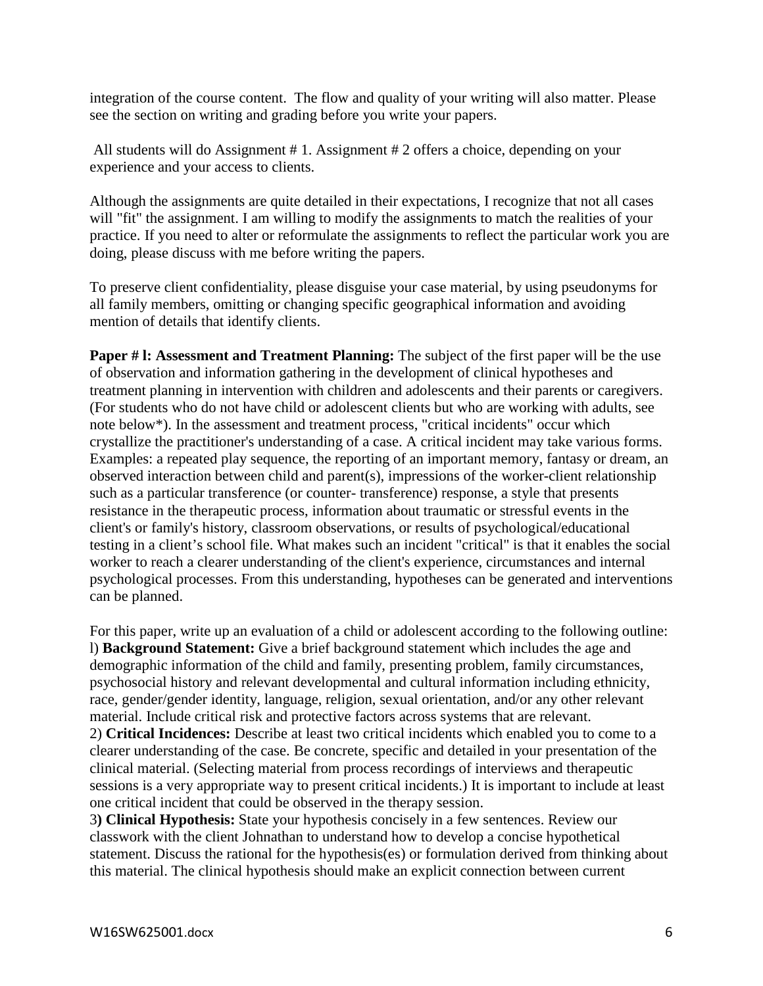integration of the course content. The flow and quality of your writing will also matter. Please see the section on writing and grading before you write your papers.

All students will do Assignment # 1. Assignment # 2 offers a choice, depending on your experience and your access to clients.

Although the assignments are quite detailed in their expectations, I recognize that not all cases will "fit" the assignment. I am willing to modify the assignments to match the realities of your practice. If you need to alter or reformulate the assignments to reflect the particular work you are doing, please discuss with me before writing the papers.

To preserve client confidentiality, please disguise your case material, by using pseudonyms for all family members, omitting or changing specific geographical information and avoiding mention of details that identify clients.

**Paper # l: Assessment and Treatment Planning:** The subject of the first paper will be the use of observation and information gathering in the development of clinical hypotheses and treatment planning in intervention with children and adolescents and their parents or caregivers. (For students who do not have child or adolescent clients but who are working with adults, see note below\*). In the assessment and treatment process, "critical incidents" occur which crystallize the practitioner's understanding of a case. A critical incident may take various forms. Examples: a repeated play sequence, the reporting of an important memory, fantasy or dream, an observed interaction between child and parent(s), impressions of the worker-client relationship such as a particular transference (or counter- transference) response, a style that presents resistance in the therapeutic process, information about traumatic or stressful events in the client's or family's history, classroom observations, or results of psychological/educational testing in a client's school file. What makes such an incident "critical" is that it enables the social worker to reach a clearer understanding of the client's experience, circumstances and internal psychological processes. From this understanding, hypotheses can be generated and interventions can be planned.

For this paper, write up an evaluation of a child or adolescent according to the following outline: l) **Background Statement:** Give a brief background statement which includes the age and demographic information of the child and family, presenting problem, family circumstances, psychosocial history and relevant developmental and cultural information including ethnicity, race, gender/gender identity, language, religion, sexual orientation, and/or any other relevant material. Include critical risk and protective factors across systems that are relevant. 2) **Critical Incidences:** Describe at least two critical incidents which enabled you to come to a clearer understanding of the case. Be concrete, specific and detailed in your presentation of the clinical material. (Selecting material from process recordings of interviews and therapeutic sessions is a very appropriate way to present critical incidents.) It is important to include at least one critical incident that could be observed in the therapy session.

3**) Clinical Hypothesis:** State your hypothesis concisely in a few sentences. Review our classwork with the client Johnathan to understand how to develop a concise hypothetical statement. Discuss the rational for the hypothesis(es) or formulation derived from thinking about this material. The clinical hypothesis should make an explicit connection between current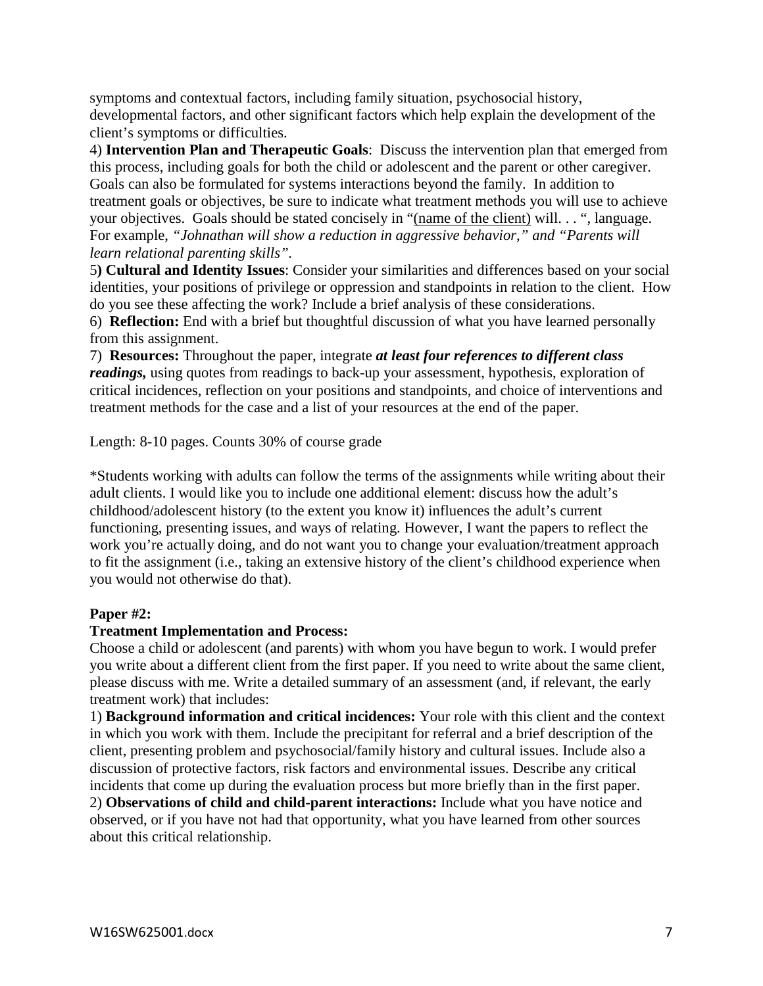symptoms and contextual factors, including family situation, psychosocial history, developmental factors, and other significant factors which help explain the development of the client's symptoms or difficulties.

4) **Intervention Plan and Therapeutic Goals**: Discuss the intervention plan that emerged from this process, including goals for both the child or adolescent and the parent or other caregiver. Goals can also be formulated for systems interactions beyond the family. In addition to treatment goals or objectives, be sure to indicate what treatment methods you will use to achieve your objectives. Goals should be stated concisely in "(name of the client) will. . . ", language. For example, *"Johnathan will show a reduction in aggressive behavior," and "Parents will learn relational parenting skills".*

5**) Cultural and Identity Issues**: Consider your similarities and differences based on your social identities, your positions of privilege or oppression and standpoints in relation to the client. How do you see these affecting the work? Include a brief analysis of these considerations.

6) **Reflection:** End with a brief but thoughtful discussion of what you have learned personally from this assignment.

7) **Resources:** Throughout the paper, integrate *at least four references to different class readings,* using quotes from readings to back-up your assessment, hypothesis, exploration of critical incidences, reflection on your positions and standpoints, and choice of interventions and treatment methods for the case and a list of your resources at the end of the paper.

Length: 8-10 pages. Counts 30% of course grade

\*Students working with adults can follow the terms of the assignments while writing about their adult clients. I would like you to include one additional element: discuss how the adult's childhood/adolescent history (to the extent you know it) influences the adult's current functioning, presenting issues, and ways of relating. However, I want the papers to reflect the work you're actually doing, and do not want you to change your evaluation/treatment approach to fit the assignment (i.e., taking an extensive history of the client's childhood experience when you would not otherwise do that).

## **Paper #2:**

## **Treatment Implementation and Process:**

Choose a child or adolescent (and parents) with whom you have begun to work. I would prefer you write about a different client from the first paper. If you need to write about the same client, please discuss with me. Write a detailed summary of an assessment (and, if relevant, the early treatment work) that includes:

1) **Background information and critical incidences:** Your role with this client and the context in which you work with them. Include the precipitant for referral and a brief description of the client, presenting problem and psychosocial/family history and cultural issues. Include also a discussion of protective factors, risk factors and environmental issues. Describe any critical incidents that come up during the evaluation process but more briefly than in the first paper. 2) **Observations of child and child-parent interactions:** Include what you have notice and

observed, or if you have not had that opportunity, what you have learned from other sources about this critical relationship.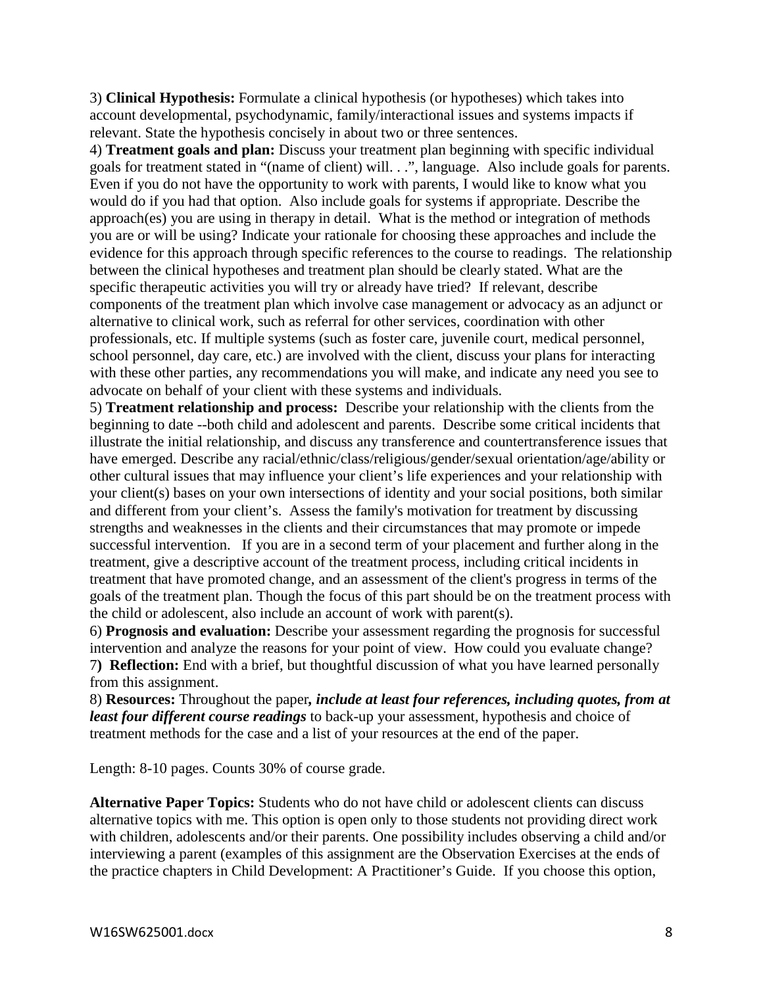3) **Clinical Hypothesis:** Formulate a clinical hypothesis (or hypotheses) which takes into account developmental, psychodynamic, family/interactional issues and systems impacts if relevant. State the hypothesis concisely in about two or three sentences.

4) **Treatment goals and plan:** Discuss your treatment plan beginning with specific individual goals for treatment stated in "(name of client) will. . .", language. Also include goals for parents. Even if you do not have the opportunity to work with parents, I would like to know what you would do if you had that option. Also include goals for systems if appropriate. Describe the approach(es) you are using in therapy in detail. What is the method or integration of methods you are or will be using? Indicate your rationale for choosing these approaches and include the evidence for this approach through specific references to the course to readings. The relationship between the clinical hypotheses and treatment plan should be clearly stated. What are the specific therapeutic activities you will try or already have tried? If relevant, describe components of the treatment plan which involve case management or advocacy as an adjunct or alternative to clinical work, such as referral for other services, coordination with other professionals, etc. If multiple systems (such as foster care, juvenile court, medical personnel, school personnel, day care, etc.) are involved with the client, discuss your plans for interacting with these other parties, any recommendations you will make, and indicate any need you see to advocate on behalf of your client with these systems and individuals.

5) **Treatment relationship and process:** Describe your relationship with the clients from the beginning to date --both child and adolescent and parents. Describe some critical incidents that illustrate the initial relationship, and discuss any transference and countertransference issues that have emerged. Describe any racial/ethnic/class/religious/gender/sexual orientation/age/ability or other cultural issues that may influence your client's life experiences and your relationship with your client(s) bases on your own intersections of identity and your social positions, both similar and different from your client's. Assess the family's motivation for treatment by discussing strengths and weaknesses in the clients and their circumstances that may promote or impede successful intervention. If you are in a second term of your placement and further along in the treatment, give a descriptive account of the treatment process, including critical incidents in treatment that have promoted change, and an assessment of the client's progress in terms of the goals of the treatment plan. Though the focus of this part should be on the treatment process with the child or adolescent, also include an account of work with parent(s).

6) **Prognosis and evaluation:** Describe your assessment regarding the prognosis for successful intervention and analyze the reasons for your point of view. How could you evaluate change? 7**) Reflection:** End with a brief, but thoughtful discussion of what you have learned personally from this assignment.

8) **Resources:** Throughout the paper*, include at least four references, including quotes, from at least four different course readings* to back-up your assessment, hypothesis and choice of treatment methods for the case and a list of your resources at the end of the paper.

Length: 8-10 pages. Counts 30% of course grade.

**Alternative Paper Topics:** Students who do not have child or adolescent clients can discuss alternative topics with me. This option is open only to those students not providing direct work with children, adolescents and/or their parents. One possibility includes observing a child and/or interviewing a parent (examples of this assignment are the Observation Exercises at the ends of the practice chapters in Child Development: A Practitioner's Guide. If you choose this option,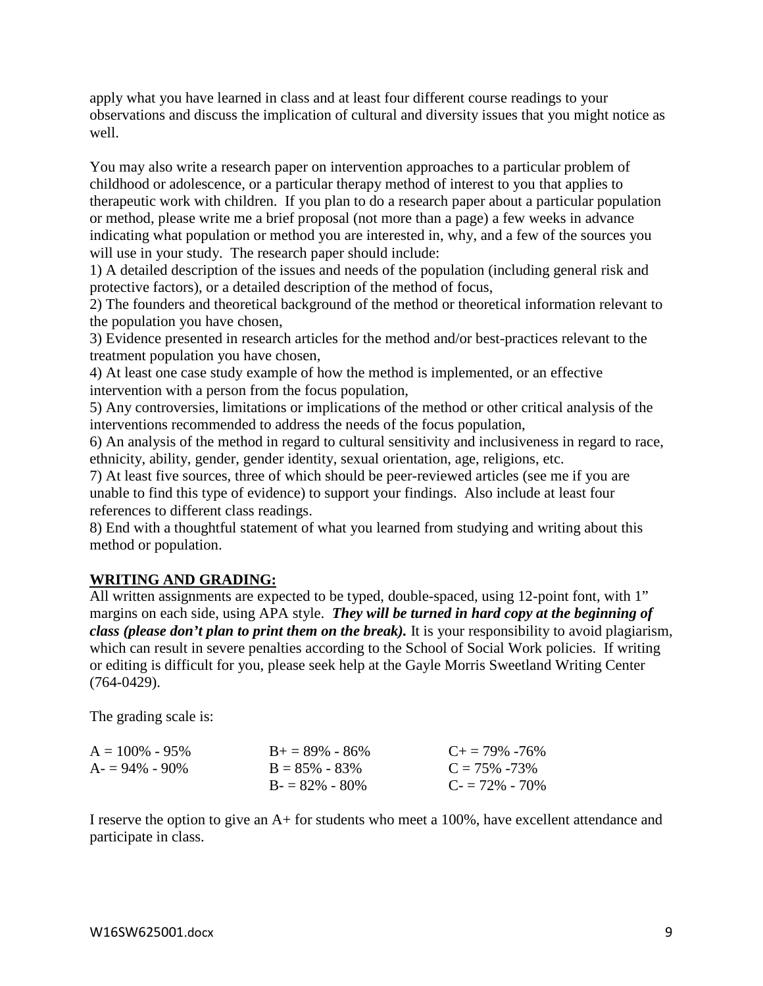apply what you have learned in class and at least four different course readings to your observations and discuss the implication of cultural and diversity issues that you might notice as well.

You may also write a research paper on intervention approaches to a particular problem of childhood or adolescence, or a particular therapy method of interest to you that applies to therapeutic work with children. If you plan to do a research paper about a particular population or method, please write me a brief proposal (not more than a page) a few weeks in advance indicating what population or method you are interested in, why, and a few of the sources you will use in your study. The research paper should include:

1) A detailed description of the issues and needs of the population (including general risk and protective factors), or a detailed description of the method of focus,

2) The founders and theoretical background of the method or theoretical information relevant to the population you have chosen,

3) Evidence presented in research articles for the method and/or best-practices relevant to the treatment population you have chosen,

4) At least one case study example of how the method is implemented, or an effective intervention with a person from the focus population,

5) Any controversies, limitations or implications of the method or other critical analysis of the interventions recommended to address the needs of the focus population,

6) An analysis of the method in regard to cultural sensitivity and inclusiveness in regard to race, ethnicity, ability, gender, gender identity, sexual orientation, age, religions, etc.

7) At least five sources, three of which should be peer-reviewed articles (see me if you are unable to find this type of evidence) to support your findings. Also include at least four references to different class readings.

8) End with a thoughtful statement of what you learned from studying and writing about this method or population.

# **WRITING AND GRADING:**

All written assignments are expected to be typed, double-spaced, using 12-point font, with 1" margins on each side, using APA style. *They will be turned in hard copy at the beginning of class (please don't plan to print them on the break).* It is your responsibility to avoid plagiarism, which can result in severe penalties according to the School of Social Work policies. If writing or editing is difficult for you, please seek help at the Gayle Morris Sweetland Writing Center (764-0429).

The grading scale is:

| $A = 100\% - 95\%$ | $B_{+} = 89\% - 86\%$ | $C_{\pm} = 79\% - 76\%$ |
|--------------------|-----------------------|-------------------------|
| $A = 94\% - 90\%$  | $B = 85\% - 83\%$     | $C = 75\% - 73\%$       |
|                    | $B = 82\% - 80\%$     | $C = 72\% - 70\%$       |

I reserve the option to give an A+ for students who meet a 100%, have excellent attendance and participate in class.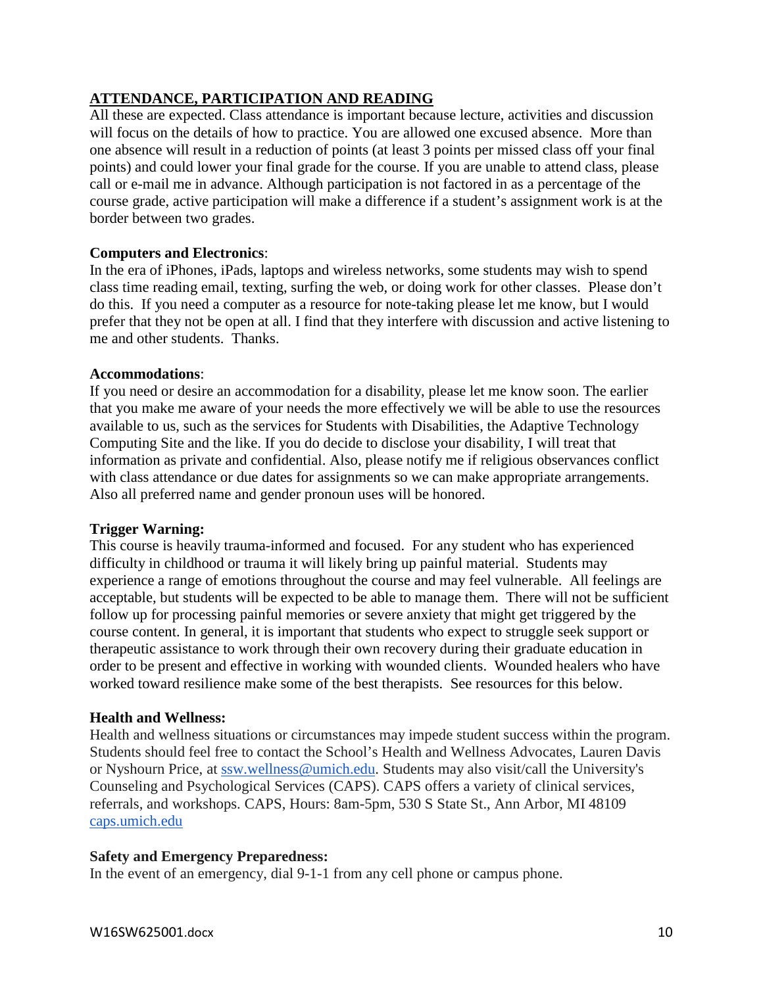## **ATTENDANCE, PARTICIPATION AND READING**

All these are expected. Class attendance is important because lecture, activities and discussion will focus on the details of how to practice. You are allowed one excused absence. More than one absence will result in a reduction of points (at least 3 points per missed class off your final points) and could lower your final grade for the course. If you are unable to attend class, please call or e-mail me in advance. Although participation is not factored in as a percentage of the course grade, active participation will make a difference if a student's assignment work is at the border between two grades.

## **Computers and Electronics**:

In the era of iPhones, iPads, laptops and wireless networks, some students may wish to spend class time reading email, texting, surfing the web, or doing work for other classes. Please don't do this. If you need a computer as a resource for note-taking please let me know, but I would prefer that they not be open at all. I find that they interfere with discussion and active listening to me and other students. Thanks.

#### **Accommodations**:

If you need or desire an accommodation for a disability, please let me know soon. The earlier that you make me aware of your needs the more effectively we will be able to use the resources available to us, such as the services for Students with Disabilities, the Adaptive Technology Computing Site and the like. If you do decide to disclose your disability, I will treat that information as private and confidential. Also, please notify me if religious observances conflict with class attendance or due dates for assignments so we can make appropriate arrangements. Also all preferred name and gender pronoun uses will be honored.

#### **Trigger Warning:**

This course is heavily trauma-informed and focused. For any student who has experienced difficulty in childhood or trauma it will likely bring up painful material. Students may experience a range of emotions throughout the course and may feel vulnerable. All feelings are acceptable, but students will be expected to be able to manage them. There will not be sufficient follow up for processing painful memories or severe anxiety that might get triggered by the course content. In general, it is important that students who expect to struggle seek support or therapeutic assistance to work through their own recovery during their graduate education in order to be present and effective in working with wounded clients. Wounded healers who have worked toward resilience make some of the best therapists. See resources for this below.

#### **Health and Wellness:**

Health and wellness situations or circumstances may impede student success within the program. Students should feel free to contact the School's Health and Wellness Advocates, Lauren Davis or Nyshourn Price, at [ssw.wellness@umich.edu.](mailto:ssw.wellness@umich.edu) Students may also visit/call the University's Counseling and Psychological Services (CAPS). CAPS offers a variety of clinical services, referrals, and workshops. CAPS, Hours: 8am-5pm, 530 S State St., Ann Arbor, MI 48109 [caps.umich.edu](http://caps.umich.edu/)

#### **Safety and Emergency Preparedness:**

In the event of an emergency, dial 9-1-1 from any cell phone or campus phone.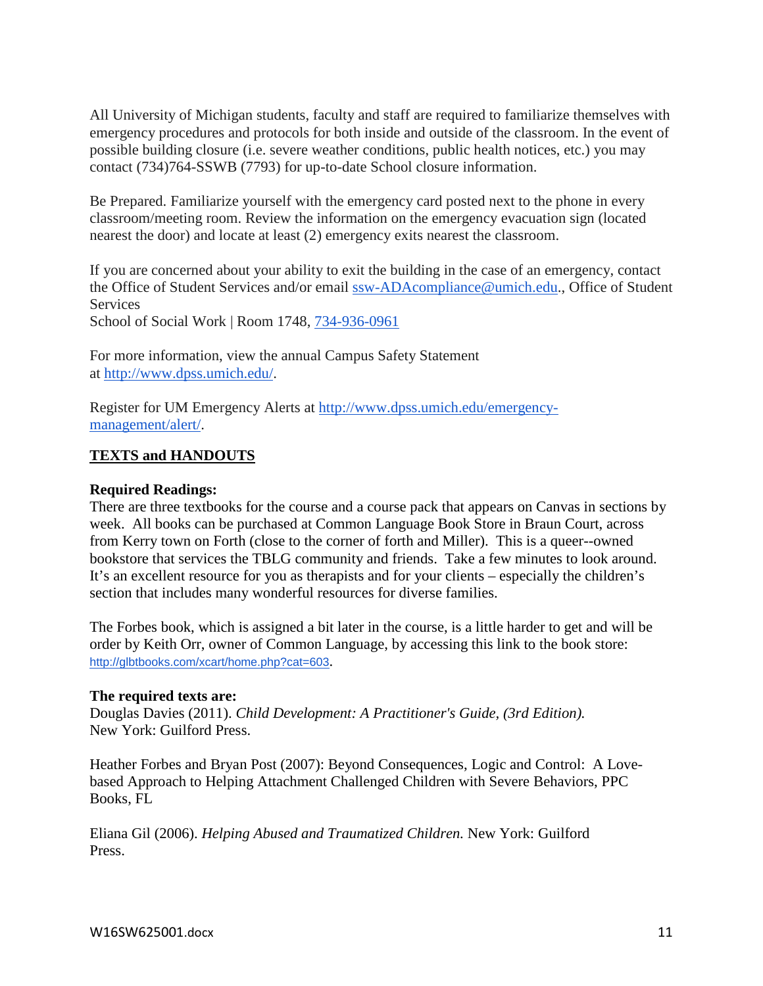All University of Michigan students, faculty and staff are required to familiarize themselves with emergency procedures and protocols for both inside and outside of the classroom. In the event of possible building closure (i.e. severe weather conditions, public health notices, etc.) you may contact (734)764-SSWB (7793) for up-to-date School closure information.

Be Prepared. Familiarize yourself with the emergency card posted next to the phone in every classroom/meeting room. Review the information on the emergency evacuation sign (located nearest the door) and locate at least (2) emergency exits nearest the classroom.

If you are concerned about your ability to exit the building in the case of an emergency, contact the Office of Student Services and/or email [ssw-ADAcompliance@umich.edu.](mailto:ssw-ADAcompliance@umich.edu), Office of Student **Services** 

School of Social Work | Room 1748, [734-936-0961](tel:734-936-0961)

For more information, view the annual Campus Safety Statement at [http://www.dpss.umich.edu/.](http://www.dpss.umich.edu/)

Register for UM Emergency Alerts at [http://www.dpss.umich.edu/emergency](http://www.dpss.umich.edu/emergency-management/alert/)[management/alert/.](http://www.dpss.umich.edu/emergency-management/alert/)

## **TEXTS and HANDOUTS**

## **Required Readings:**

There are three textbooks for the course and a course pack that appears on Canvas in sections by week. All books can be purchased at Common Language Book Store in Braun Court, across from Kerry town on Forth (close to the corner of forth and Miller). This is a queer--owned bookstore that services the TBLG community and friends. Take a few minutes to look around. It's an excellent resource for you as therapists and for your clients – especially the children's section that includes many wonderful resources for diverse families.

The Forbes book, which is assigned a bit later in the course, is a little harder to get and will be order by Keith Orr, owner of Common Language, by accessing this link to the book store: <http://glbtbooks.com/xcart/home.php?cat=603>.

#### **The required texts are:**

Douglas Davies (2011). *Child Development: A Practitioner's Guide, (3rd Edition).*  New York: Guilford Press.

Heather Forbes and Bryan Post (2007): Beyond Consequences, Logic and Control: A Lovebased Approach to Helping Attachment Challenged Children with Severe Behaviors, PPC Books, FL

Eliana Gil (2006). *Helping Abused and Traumatized Children.* New York: Guilford Press.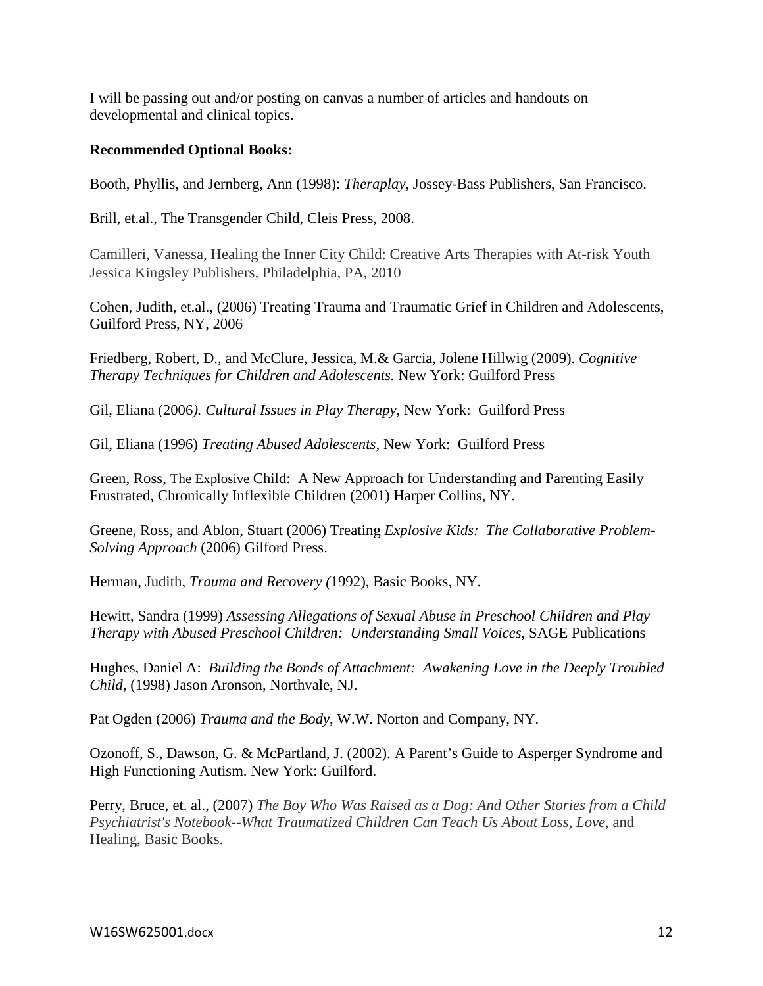I will be passing out and/or posting on canvas a number of articles and handouts on developmental and clinical topics.

#### **Recommended Optional Books:**

Booth, Phyllis, and Jernberg, Ann (1998): *Theraplay*, Jossey-Bass Publishers, San Francisco.

Brill, et.al., The Transgender Child, Cleis Press, 2008.

Camilleri, Vanessa, Healing the Inner City Child: Creative Arts Therapies with At-risk Youth Jessica Kingsley Publishers, Philadelphia, PA, 2010

Cohen, Judith, et.al., (2006) Treating Trauma and Traumatic Grief in Children and Adolescents, Guilford Press, NY, 2006

Friedberg, Robert, D., and McClure, Jessica, M.& Garcia, Jolene Hillwig (2009). *Cognitive Therapy Techniques for Children and Adolescents.* New York: Guilford Press

Gil, Eliana (2006*). Cultural Issues in Play Therapy*, New York: Guilford Press

Gil, Eliana (1996) *Treating Abused Adolescents*, New York: Guilford Press

Green, Ross, The Explosive Child: A New Approach for Understanding and Parenting Easily Frustrated, Chronically Inflexible Children (2001) Harper Collins, NY.

Greene, Ross, and Ablon, Stuart (2006) Treating *Explosive Kids: The Collaborative Problem-Solving Approach* (2006) Gilford Press.

Herman, Judith, *Trauma and Recovery (*1992), Basic Books, NY.

Hewitt, Sandra (1999) *Assessing Allegations of Sexual Abuse in Preschool Children and Play Therapy with Abused Preschool Children: Understanding Small Voices*, SAGE Publications

Hughes, Daniel A: *Building the Bonds of Attachment: Awakening Love in the Deeply Troubled Child*, (1998) Jason Aronson, Northvale, NJ.

Pat Ogden (2006) *Trauma and the Body*, W.W. Norton and Company, NY.

Ozonoff, S., Dawson, G. & McPartland, J. (2002). A Parent's Guide to Asperger Syndrome and High Functioning Autism. New York: Guilford.

Perry, Bruce, et. al., (2007) *The Boy Who Was Raised as a Dog: And Other Stories from a Child Psychiatrist's Notebook--What Traumatized Children Can Teach Us About Loss, Love*, and Healing, Basic Books.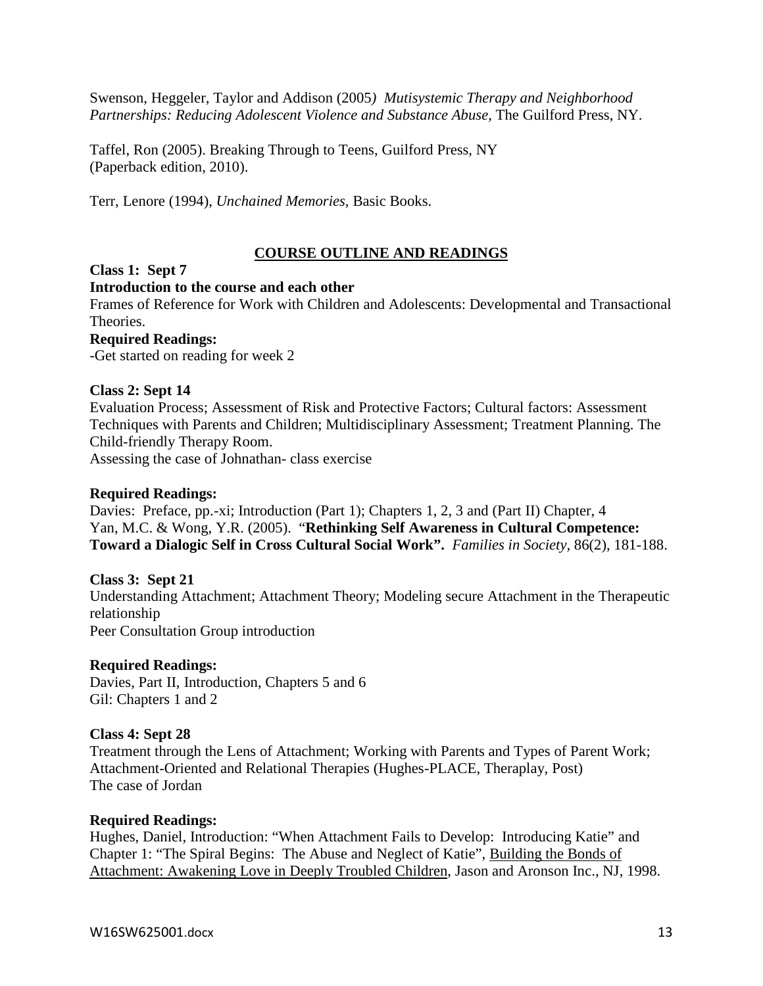Swenson, Heggeler, Taylor and Addison (2005*) Mutisystemic Therapy and Neighborhood Partnerships: Reducing Adolescent Violence and Substance Abuse,* The Guilford Press, NY.

Taffel, Ron (2005). Breaking Through to Teens, Guilford Press, NY (Paperback edition, 2010).

Terr, Lenore (1994), *Unchained Memories*, Basic Books.

## **COURSE OUTLINE AND READINGS**

#### **Class 1: Sept 7**

#### **Introduction to the course and each other**

Frames of Reference for Work with Children and Adolescents: Developmental and Transactional Theories.

#### **Required Readings:**

-Get started on reading for week 2

#### **Class 2: Sept 14**

Evaluation Process; Assessment of Risk and Protective Factors; Cultural factors: Assessment Techniques with Parents and Children; Multidisciplinary Assessment; Treatment Planning. The Child-friendly Therapy Room.

Assessing the case of Johnathan- class exercise

#### **Required Readings:**

Davies: Preface, pp.-xi; Introduction (Part 1); Chapters 1, 2, 3 and (Part II) Chapter, 4 Yan, M.C. & Wong, Y.R. (2005). "**Rethinking Self Awareness in Cultural Competence: Toward a Dialogic Self in Cross Cultural Social Work".** *Families in Society,* 86(2), 181-188.

#### **Class 3: Sept 21**

Understanding Attachment; Attachment Theory; Modeling secure Attachment in the Therapeutic relationship Peer Consultation Group introduction

#### **Required Readings:**

Davies, Part II, Introduction, Chapters 5 and 6 Gil: Chapters 1 and 2

#### **Class 4: Sept 28**

Treatment through the Lens of Attachment; Working with Parents and Types of Parent Work; Attachment-Oriented and Relational Therapies (Hughes-PLACE, Theraplay, Post) The case of Jordan

#### **Required Readings:**

Hughes, Daniel, Introduction: "When Attachment Fails to Develop: Introducing Katie" and Chapter 1: "The Spiral Begins: The Abuse and Neglect of Katie", Building the Bonds of Attachment: Awakening Love in Deeply Troubled Children, Jason and Aronson Inc., NJ, 1998.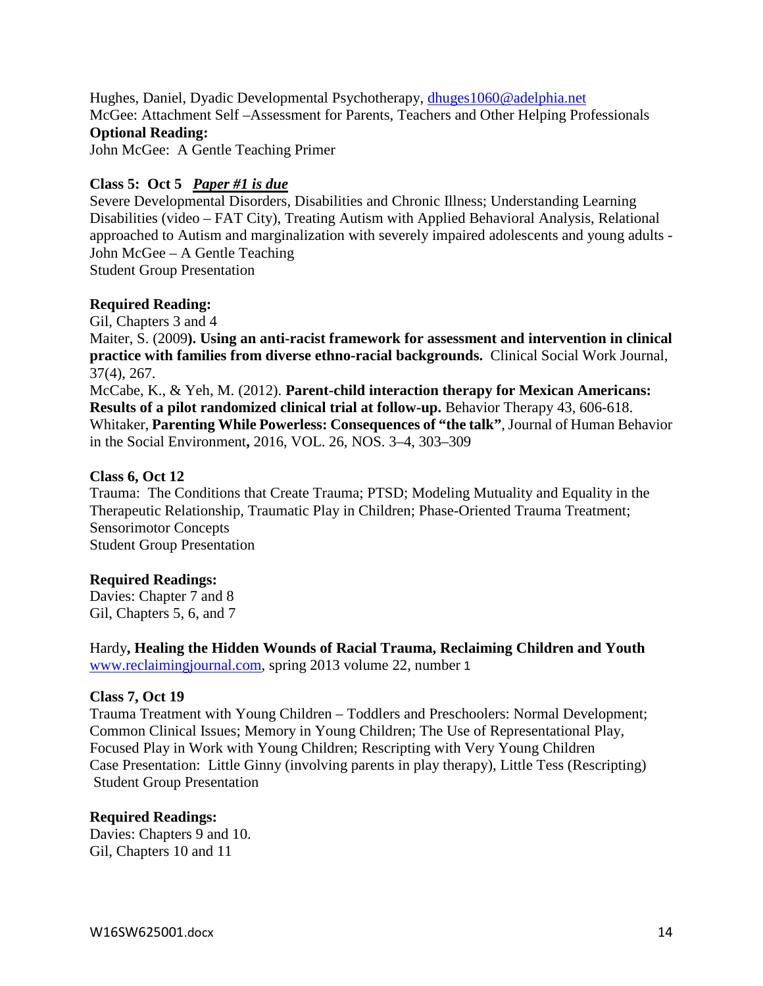Hughes, Daniel, Dyadic Developmental Psychotherapy, [dhuges1060@adelphia.net](mailto:dhuges1060@adelphia.net) McGee: Attachment Self –Assessment for Parents, Teachers and Other Helping Professionals **Optional Reading:** 

John McGee: A Gentle Teaching Primer

## **Class 5: Oct 5** *Paper #1 is due*

Severe Developmental Disorders, Disabilities and Chronic Illness; Understanding Learning Disabilities (video – FAT City), Treating Autism with Applied Behavioral Analysis, Relational approached to Autism and marginalization with severely impaired adolescents and young adults - John McGee – A Gentle Teaching Student Group Presentation

## **Required Reading:**

Gil, Chapters 3 and 4

Maiter, S. (2009**). Using an anti-racist framework for assessment and intervention in clinical practice with families from diverse ethno-racial backgrounds.** Clinical Social Work Journal, 37(4), 267.

McCabe, K., & Yeh, M. (2012). **Parent-child interaction therapy for Mexican Americans: Results of a pilot randomized clinical trial at follow-up.** Behavior Therapy 43, 606-618. Whitaker, **Parenting While Powerless: Consequences of "the talk"**, Journal of Human Behavior in the Social Environment**,** 2016, VOL. 26, NOS. 3–4, 303–309

#### **Class 6, Oct 12**

Trauma: The Conditions that Create Trauma; PTSD; Modeling Mutuality and Equality in the Therapeutic Relationship, Traumatic Play in Children; Phase-Oriented Trauma Treatment; Sensorimotor Concepts Student Group Presentation

#### **Required Readings:**

Davies: Chapter 7 and 8 Gil, Chapters 5, 6, and 7

Hardy**, Healing the Hidden Wounds of Racial Trauma, Reclaiming Children and Youth** [www.reclaimingjournal.com,](http://www.reclaimingjournal.com/) spring 2013 volume 22, number 1

#### **Class 7, Oct 19**

Trauma Treatment with Young Children – Toddlers and Preschoolers: Normal Development; Common Clinical Issues; Memory in Young Children; The Use of Representational Play, Focused Play in Work with Young Children; Rescripting with Very Young Children Case Presentation: Little Ginny (involving parents in play therapy), Little Tess (Rescripting) Student Group Presentation

#### **Required Readings:**

Davies: Chapters 9 and 10. Gil, Chapters 10 and 11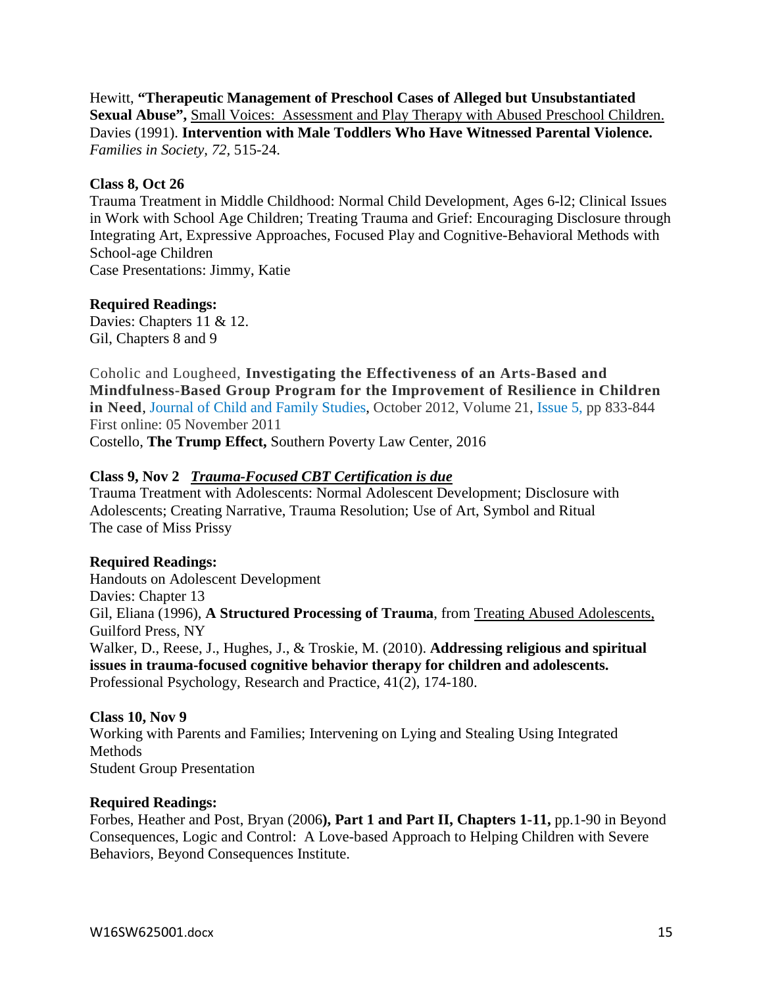Hewitt, **"Therapeutic Management of Preschool Cases of Alleged but Unsubstantiated Sexual Abuse",** Small Voices: Assessment and Play Therapy with Abused Preschool Children. Davies (1991). **Intervention with Male Toddlers Who Have Witnessed Parental Violence.** *Families in Society, 72,* 515-24.

## **Class 8, Oct 26**

Trauma Treatment in Middle Childhood: Normal Child Development, Ages 6-l2; Clinical Issues in Work with School Age Children; Treating Trauma and Grief: Encouraging Disclosure through Integrating Art, Expressive Approaches, Focused Play and Cognitive-Behavioral Methods with School-age Children Case Presentations: Jimmy, Katie

## **Required Readings:**

Davies: Chapters 11 & 12. Gil, Chapters 8 and 9

Coholic and Lougheed, **Investigating the Effectiveness of an Arts-Based and Mindfulness-Based Group Program for the Improvement of Resilience in Children in Need**, Journal of Child and Family [Studies,](http://link.springer.com/journal/10826) October 2012, Volume 21, [Issue](http://link.springer.com/journal/10826/21/5/page/1) 5, pp 833-844 First online: 05 November 2011

Costello, **The Trump Effect,** Southern Poverty Law Center, 2016

## **Class 9, Nov 2** *Trauma-Focused CBT Certification is due*

Trauma Treatment with Adolescents: Normal Adolescent Development; Disclosure with Adolescents; Creating Narrative, Trauma Resolution; Use of Art, Symbol and Ritual The case of Miss Prissy

## **Required Readings:**

Handouts on Adolescent Development Davies: Chapter 13 Gil, Eliana (1996), **A Structured Processing of Trauma**, from Treating Abused Adolescents, Guilford Press, NY Walker, D., Reese, J., Hughes, J., & Troskie, M. (2010). **Addressing religious and spiritual issues in trauma-focused cognitive behavior therapy for children and adolescents.**  Professional Psychology, Research and Practice, 41(2), 174-180.

#### **Class 10, Nov 9**

Working with Parents and Families; Intervening on Lying and Stealing Using Integrated Methods Student Group Presentation

#### **Required Readings:**

Forbes, Heather and Post, Bryan (2006**), Part 1 and Part II, Chapters 1-11,** pp.1-90 in Beyond Consequences, Logic and Control: A Love-based Approach to Helping Children with Severe Behaviors, Beyond Consequences Institute.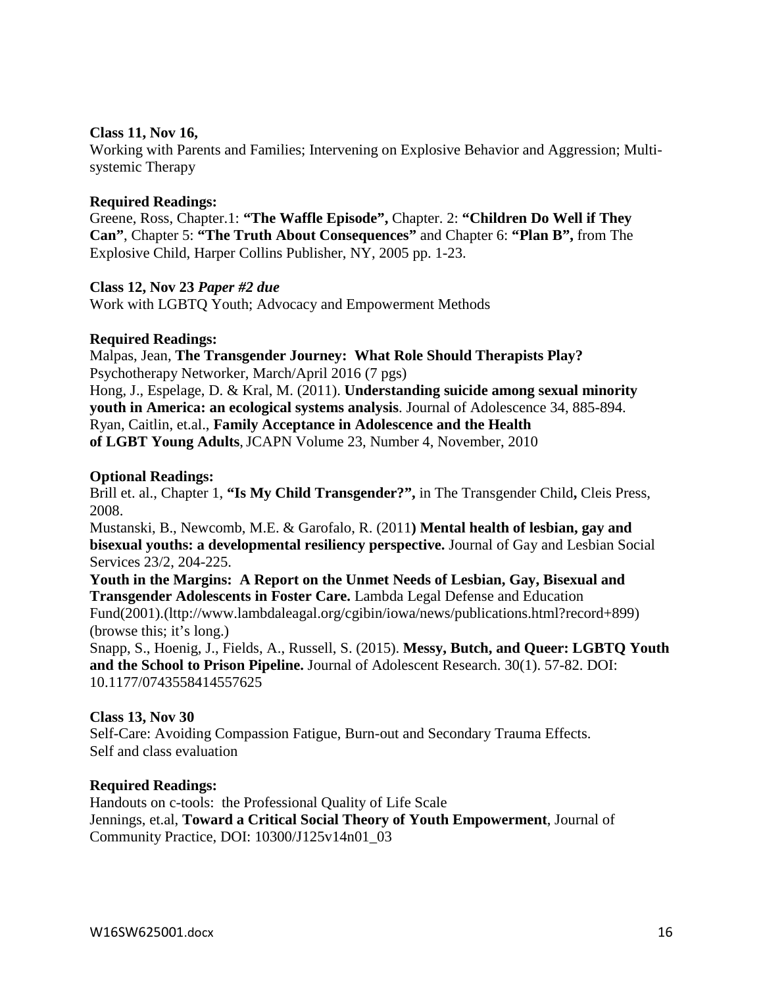#### **Class 11, Nov 16,**

Working with Parents and Families; Intervening on Explosive Behavior and Aggression; Multisystemic Therapy

#### **Required Readings:**

Greene, Ross, Chapter.1: **"The Waffle Episode",** Chapter. 2: **"Children Do Well if They Can"**, Chapter 5: **"The Truth About Consequences"** and Chapter 6: **"Plan B",** from The Explosive Child, Harper Collins Publisher, NY, 2005 pp. 1-23.

#### **Class 12, Nov 23** *Paper #2 due*

Work with LGBTQ Youth; Advocacy and Empowerment Methods

#### **Required Readings:**

Malpas, Jean, **The Transgender Journey: What Role Should Therapists Play?** Psychotherapy Networker, March/April 2016 (7 pgs) Hong, J., Espelage, D. & Kral, M. (2011). **Understanding suicide among sexual minority youth in America: an ecological systems analysis**. Journal of Adolescence 34, 885-894. Ryan, Caitlin, et.al., **Family Acceptance in Adolescence and the Health of LGBT Young Adults**,JCAPN Volume 23, Number 4, November, 2010

#### **Optional Readings:**

Brill et. al., Chapter 1, **"Is My Child Transgender?",** in The Transgender Child**,** Cleis Press, 2008.

Mustanski, B., Newcomb, M.E. & Garofalo, R. (2011**) Mental health of lesbian, gay and bisexual youths: a developmental resiliency perspective.** Journal of Gay and Lesbian Social Services 23/2, 204-225.

**Youth in the Margins: A Report on the Unmet Needs of Lesbian, Gay, Bisexual and Transgender Adolescents in Foster Care.** Lambda Legal Defense and Education Fund(2001).(lttp://www.lambdaleagal.org/cgibin/iowa/news/publications.html?record+899) (browse this; it's long.)

Snapp, S., Hoenig, J., Fields, A., Russell, S. (2015). **Messy, Butch, and Queer: LGBTQ Youth and the School to Prison Pipeline.** Journal of Adolescent Research. 30(1). 57-82. DOI: 10.1177/0743558414557625

#### **Class 13, Nov 30**

Self-Care: Avoiding Compassion Fatigue, Burn-out and Secondary Trauma Effects. Self and class evaluation

#### **Required Readings:**

Handouts on c-tools: the Professional Quality of Life Scale Jennings, et.al, **Toward a Critical Social Theory of Youth Empowerment**, Journal of Community Practice, DOI: 10300/J125v14n01\_03